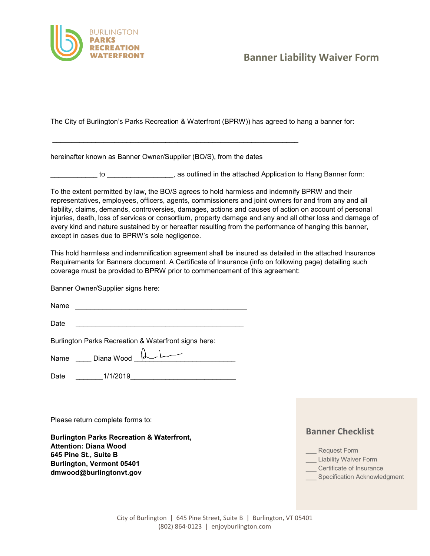

## **Banner Liability Waiver Form**

The City of Burlington's Parks Recreation & Waterfront (BPRW)) has agreed to hang a banner for:

hereinafter known as Banner Owner/Supplier (BO/S), from the dates

\_\_\_\_\_\_\_\_\_\_\_\_\_\_\_\_\_\_\_\_\_\_\_\_\_\_\_\_\_\_\_\_\_\_\_\_\_\_\_\_\_\_\_\_\_\_\_\_\_\_\_\_\_\_\_\_\_\_\_\_\_\_\_

\_\_\_\_\_\_\_\_\_\_\_\_ to \_\_\_\_\_\_\_\_\_\_\_\_\_\_\_\_\_, as outlined in the attached Application to Hang Banner form:

To the extent permitted by law, the BO/S agrees to hold harmless and indemnify BPRW and their representatives, employees, officers, agents, commissioners and joint owners for and from any and all liability, claims, demands, controversies, damages, actions and causes of action on account of personal injuries, death, loss of services or consortium, property damage and any and all other loss and damage of every kind and nature sustained by or hereafter resulting from the performance of hanging this banner, except in cases due to BPRW's sole negligence.

This hold harmless and indemnification agreement shall be insured as detailed in the attached Insurance Requirements for Banners document. A Certificate of Insurance (info on following page) detailing such coverage must be provided to BPRW prior to commencement of this agreement:

Banner Owner/Supplier signs here:

Name \_\_\_\_\_\_\_\_\_\_\_\_\_\_\_\_\_\_\_\_\_\_\_\_\_\_\_\_\_\_\_\_\_\_\_\_\_\_\_\_\_\_\_\_

Date \_\_\_\_\_\_\_\_\_\_\_\_\_\_\_\_\_\_\_\_\_\_\_\_\_\_\_\_\_\_\_\_\_\_\_\_\_\_\_\_\_\_\_

Burlington Parks Recreation & Waterfront signs here:

 $Name \_\_\$  Diana Wood  $\downarrow \downarrow \qquad \qquad \qquad$ 

Date 1/1/2019

Please return complete forms to:

**Burlington Parks Recreation & Waterfront, Attention: Diana Wood 645 Pine St., Suite B Burlington, Vermont 05401 [dmwood@burlingtonvt.gov](mailto:dmwood@burlingtonvt.gov)**

## **Banner Checklist**

- \_\_\_ Request Form
- \_\_\_ Liability Waiver Form
- \_\_\_ Certificate of Insurance
- Specification Acknowledgment